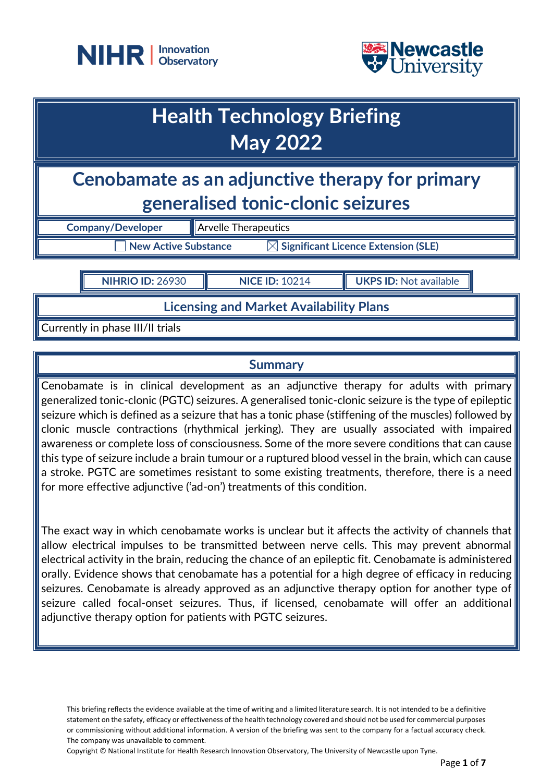



## **Health Technology Briefing May 2022**

**Cenobamate as an adjunctive therapy for primary generalised tonic-clonic seizures**

| <b>Company/Developer</b> | <b>Arvelle T</b> |
|--------------------------|------------------|
| New Active Substance     |                  |

**Therapeutics**  $\boxtimes$  Significant Licence Extension (SLE)

**NIHRIO ID:** 26930 **NICE ID:** 10214 **UKPS ID:** Not available

**Licensing and Market Availability Plans**

Currently in phase III/II trials

## **Summary**

Cenobamate is in clinical development as an adjunctive therapy for adults with primary generalized tonic-clonic (PGTC) seizures. A generalised tonic-clonic seizure is the type of epileptic seizure which is defined as a seizure that has a tonic phase (stiffening of the muscles) followed by clonic muscle contractions (rhythmical jerking). They are usually associated with impaired awareness or complete loss of consciousness. Some of the more severe conditions that can cause this type of seizure include a brain tumour or a ruptured blood vessel in the brain, which can cause a stroke. PGTC are sometimes resistant to some existing treatments, therefore, there is a need for more effective adjunctive ('ad-on') treatments of this condition.

The exact way in which cenobamate works is unclear but it affects the activity of channels that allow electrical impulses to be transmitted between nerve cells. This may prevent abnormal electrical activity in the brain, reducing the chance of an epileptic fit. Cenobamate is administered orally. Evidence shows that cenobamate has a potential for a high degree of efficacy in reducing seizures. Cenobamate is already approved as an adjunctive therapy option for another type of seizure called focal-onset seizures. Thus, if licensed, cenobamate will offer an additional adjunctive therapy option for patients with PGTC seizures.

This briefing reflects the evidence available at the time of writing and a limited literature search. It is not intended to be a definitive statement on the safety, efficacy or effectiveness of the health technology covered and should not be used for commercial purposes or commissioning without additional information. A version of the briefing was sent to the company for a factual accuracy check. The company was unavailable to comment.

Copyright © National Institute for Health Research Innovation Observatory, The University of Newcastle upon Tyne.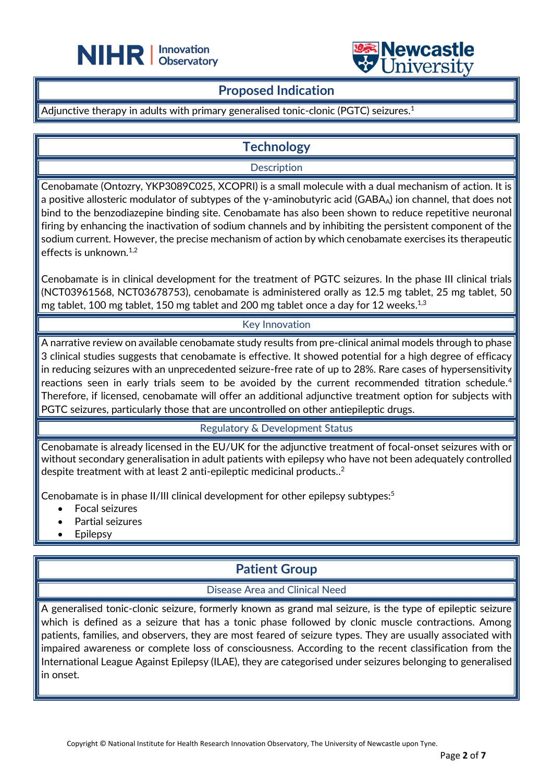



## **Proposed Indication**

### Adjunctive therapy in adults with primary generalised tonic-clonic (PGTC) seizures.<sup>1</sup>

֦

## **Technology**

**Description** 

Cenobamate (Ontozry, YKP3089C025, XCOPRI) is a small molecule with a dual mechanism of action. It is a positive allosteric modulator of subtypes of the  $\gamma$ -aminobutyric acid (GABA<sub>A</sub>) ion channel, that does not bind to the benzodiazepine binding site. Cenobamate has also been shown to reduce repetitive neuronal firing by enhancing the inactivation of sodium channels and by inhibiting the persistent component of the sodium current. However, the precise mechanism of action by which cenobamate exercises its therapeutic | effects is unknown. $1,2$ 

Cenobamate is in clinical development for the treatment of PGTC seizures. In the phase III clinical trials (NCT03961568, NCT03678753), cenobamate is administered orally as 12.5 mg tablet, 25 mg tablet, 50 mg tablet, 100 mg tablet, 150 mg tablet and 200 mg tablet once a day for 12 weeks. $^{\rm 1,3}$ 

### Key Innovation

A narrative review on available cenobamate study results from pre-clinical animal models through to phase 3 clinical studies suggests that cenobamate is effective. It showed potential for a high degree of efficacy in reducing seizures with an unprecedented seizure-free rate of up to 28%. Rare cases of hypersensitivity reactions seen in early trials seem to be avoided by the current recommended titration schedule.<sup>4</sup> Therefore, if licensed, cenobamate will offer an additional adjunctive treatment option for subjects with PGTC seizures, particularly those that are uncontrolled on other antiepileptic drugs.

### Regulatory & Development Status

Cenobamate is already licensed in the EU/UK for the adjunctive treatment of focal-onset seizures with or without secondary generalisation in adult patients with epilepsy who have not been adequately controlled despite treatment with at least 2 anti-epileptic medicinal products.. $^{\rm 2}$ 

Cenobamate is in phase II/III clinical development for other epilepsy subtypes:<sup>5</sup>

- Focal seizures
- Partial seizures
- **Epilepsy**

## **Patient Group**

### Disease Area and Clinical Need

A generalised tonic-clonic seizure, formerly known as grand mal seizure, is the type of epileptic seizure which is defined as a seizure that has a tonic phase followed by clonic muscle contractions. Among patients, families, and observers, they are most feared of seizure types. They are usually associated with impaired awareness or complete loss of consciousness. According to the recent classification from the International League Against Epilepsy (ILAE), they are categorised under seizures belonging to generalised in onset.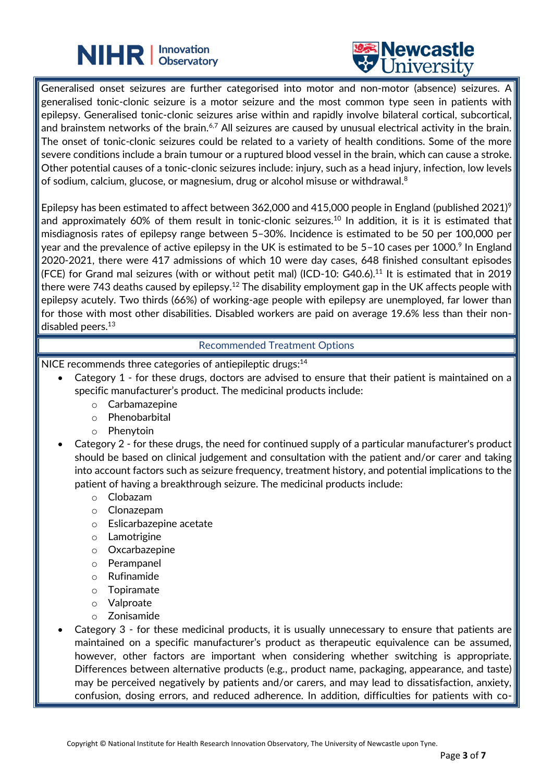# **NIHR** | Innovation



Generalised onset seizures are further categorised into motor and non-motor (absence) seizures. A generalised tonic-clonic seizure is a motor seizure and the most common type seen in patients with epilepsy. Generalised tonic-clonic seizures arise within and rapidly involve bilateral cortical, subcortical, and brainstem networks of the brain.<sup>6,7</sup> All seizures are caused by unusual electrical activity in the brain. The onset of tonic-clonic seizures could be related to a variety of health conditions. Some of the more severe conditions include a brain tumour or a ruptured blood vessel in the brain, which can cause a stroke. Other potential causes of a tonic-clonic seizures include: injury, such as a head injury, infection, low levels of sodium, calcium, glucose, or magnesium, drug or alcohol misuse or withdrawal. $^8$ 

֦

Epilepsy has been estimated to affect between 362,000 and 415,000 people in England (published 2021)<sup>9</sup> and approximately 60% of them result in tonic-clonic seizures.<sup>10</sup> In addition, it is it is estimated that misdiagnosis rates of epilepsy range between 5–30%. Incidence is estimated to be 50 per 100,000 per year and the prevalence of active epilepsy in the UK is estimated to be 5–10 cases per 1000. $^{\circ}$  In England 2020-2021, there were 417 admissions of which 10 were day cases, 648 finished consultant episodes (FCE) for Grand mal seizures (with or without petit mal) (ICD-10: G40.6).<sup>11</sup> It is estimated that in 2019 there were 743 deaths caused by epilepsy.<sup>12</sup> The disability employment gap in the UK affects people with epilepsy acutely. Two thirds (66%) of working-age people with epilepsy are unemployed, far lower than for those with most other disabilities. Disabled workers are paid on average 19.6% less than their nondisabled peers.<sup>13</sup>

### Recommended Treatment Options

NICE recommends three categories of antiepileptic drugs:<sup>14</sup>

- Category 1 for these drugs, doctors are advised to ensure that their patient is maintained on a specific manufacturer's product. The medicinal products include:
	- o Carbamazepine
	- o Phenobarbital
	- o Phenytoin
- Category 2 for these drugs, the need for continued supply of a particular manufacturer's product should be based on clinical judgement and consultation with the patient and/or carer and taking into account factors such as seizure frequency, treatment history, and potential implications to the patient of having a breakthrough seizure. The medicinal products include:
	- o Clobazam
	- o Clonazepam
	- o Eslicarbazepine acetate
	- o Lamotrigine
	- o Oxcarbazepine
	- o Perampanel
	- o Rufinamide
	- o Topiramate
	- o Valproate
	- o Zonisamide
- Category 3 for these medicinal products, it is usually unnecessary to ensure that patients are maintained on a specific manufacturer's product as therapeutic equivalence can be assumed, however, other factors are important when considering whether switching is appropriate. Differences between alternative products (e.g., product name, packaging, appearance, and taste) may be perceived negatively by patients and/or carers, and may lead to dissatisfaction, anxiety, confusion, dosing errors, and reduced adherence. In addition, difficulties for patients with co-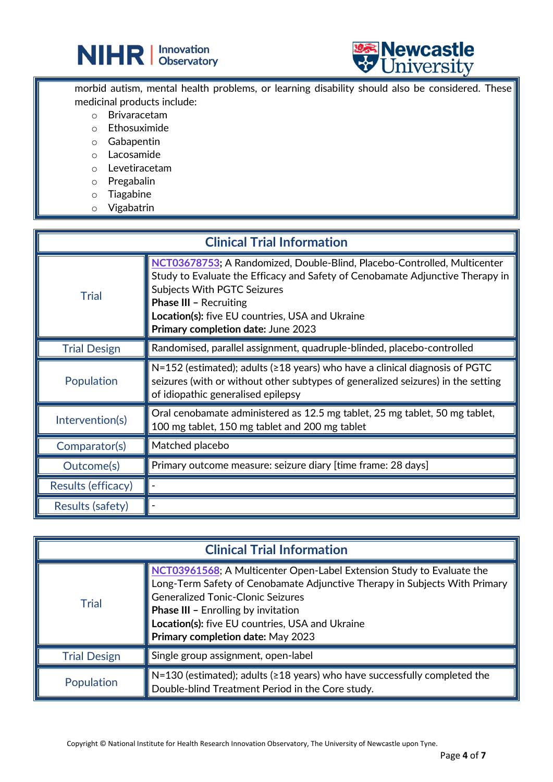



morbid autism, mental health problems, or learning disability should also be considered. These medicinal products include:

֦

- o Brivaracetam
- o Ethosuximide
- o Gabapentin
- o Lacosamide
- o Levetiracetam
- o Pregabalin
- o Tiagabine
- o Vigabatrin

| <b>Clinical Trial Information</b> |                                                                                                                                                                                                                                                                                                                           |  |
|-----------------------------------|---------------------------------------------------------------------------------------------------------------------------------------------------------------------------------------------------------------------------------------------------------------------------------------------------------------------------|--|
| <b>Trial</b>                      | NCT03678753; A Randomized, Double-Blind, Placebo-Controlled, Multicenter<br>Study to Evaluate the Efficacy and Safety of Cenobamate Adjunctive Therapy in<br><b>Subjects With PGTC Seizures</b><br><b>Phase III - Recruiting</b><br>Location(s): five EU countries, USA and Ukraine<br>Primary completion date: June 2023 |  |
| <b>Trial Design</b>               | Randomised, parallel assignment, quadruple-blinded, placebo-controlled                                                                                                                                                                                                                                                    |  |
| Population                        | $N=152$ (estimated); adults ( $\geq 18$ years) who have a clinical diagnosis of PGTC<br>seizures (with or without other subtypes of generalized seizures) in the setting<br>of idiopathic generalised epilepsy                                                                                                            |  |
| Intervention(s)                   | Oral cenobamate administered as 12.5 mg tablet, 25 mg tablet, 50 mg tablet,<br>100 mg tablet, 150 mg tablet and 200 mg tablet                                                                                                                                                                                             |  |
| Comparator(s)                     | Matched placebo                                                                                                                                                                                                                                                                                                           |  |
| Outcome(s)                        | Primary outcome measure: seizure diary [time frame: 28 days]                                                                                                                                                                                                                                                              |  |
| Results (efficacy)                |                                                                                                                                                                                                                                                                                                                           |  |
| Results (safety)                  |                                                                                                                                                                                                                                                                                                                           |  |

| <b>Clinical Trial Information</b> |                                                                                                                                                                                                                                                                                                                                |  |
|-----------------------------------|--------------------------------------------------------------------------------------------------------------------------------------------------------------------------------------------------------------------------------------------------------------------------------------------------------------------------------|--|
| <b>Trial</b>                      | NCT03961568; A Multicenter Open-Label Extension Study to Evaluate the<br>Long-Term Safety of Cenobamate Adjunctive Therapy in Subjects With Primary<br>Generalized Tonic-Clonic Seizures<br><b>Phase III - Enrolling by invitation</b><br>Location(s): five EU countries, USA and Ukraine<br>Primary completion date: May 2023 |  |
| <b>Trial Design</b>               | Single group assignment, open-label                                                                                                                                                                                                                                                                                            |  |
| Population                        | $\blacktriangleright$ N=130 (estimated); adults ( $\geq$ 18 years) who have successfully completed the<br>Double-blind Treatment Period in the Core study.                                                                                                                                                                     |  |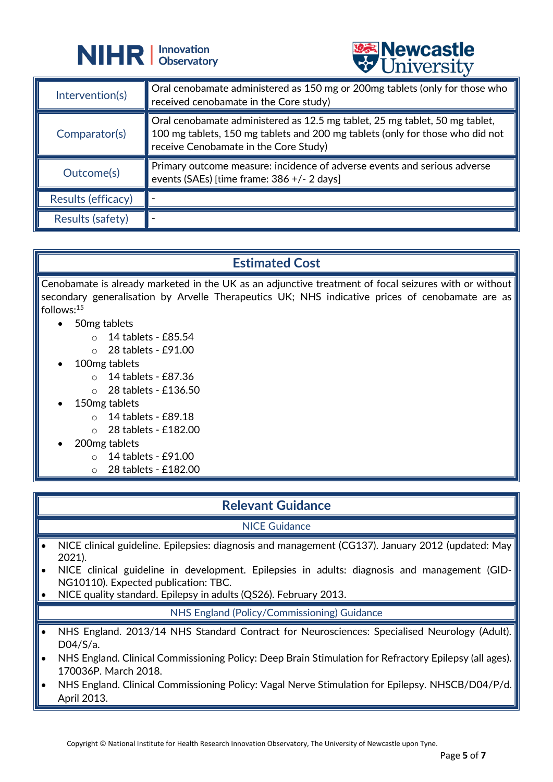



|                    | A CITTACTOTA                                                                                                                                                                                          |
|--------------------|-------------------------------------------------------------------------------------------------------------------------------------------------------------------------------------------------------|
| Intervention(s)    | Oral cenobamate administered as 150 mg or 200mg tablets (only for those who<br>received cenobamate in the Core study)                                                                                 |
| Comparator(s)      | Oral cenobamate administered as 12.5 mg tablet, 25 mg tablet, 50 mg tablet,<br>100 mg tablets, 150 mg tablets and 200 mg tablets (only for those who did not<br>receive Cenobamate in the Core Study) |
| Outcome(s)         | Primary outcome measure: incidence of adverse events and serious adverse<br>events (SAEs) [time frame: 386 +/- 2 days]                                                                                |
| Results (efficacy) |                                                                                                                                                                                                       |
| Results (safety)   |                                                                                                                                                                                                       |

## **Estimated Cost**

Cenobamate is already marketed in the UK as an adjunctive treatment of focal seizures with or without secondary generalisation by Arvelle Therapeutics UK; NHS indicative prices of cenobamate are as follows:<sup>15</sup>

- 50mg tablets
	- o 14 tablets £85.54
	- o 28 tablets £91.00
- 100mg tablets
	- o 14 tablets £87.36
	- o 28 tablets £136.50
- 150mg tablets
	- $\circ$  14 tablets £89.18
	- o 28 tablets £182.00
- 200mg tablets
	- o 14 tablets £91.00
	- o 28 tablets £182.00

## **Relevant Guidance**

### NICE Guidance

- NICE clinical guideline. Epilepsies: diagnosis and management (CG137). January 2012 (updated: May 2021).
- NICE clinical guideline in development. Epilepsies in adults: diagnosis and management (GID-NG10110). Expected publication: TBC.
- NICE quality standard. Epilepsy in adults (QS26). February 2013.

### NHS England (Policy/Commissioning) Guidance

- NHS England. 2013/14 NHS Standard Contract for Neurosciences: Specialised Neurology (Adult). D04/S/a.
- NHS England. Clinical Commissioning Policy: Deep Brain Stimulation for Refractory Epilepsy (all ages). 170036P. March 2018.
- NHS England. Clinical Commissioning Policy: Vagal Nerve Stimulation for Epilepsy. NHSCB/D04/P/d. April 2013.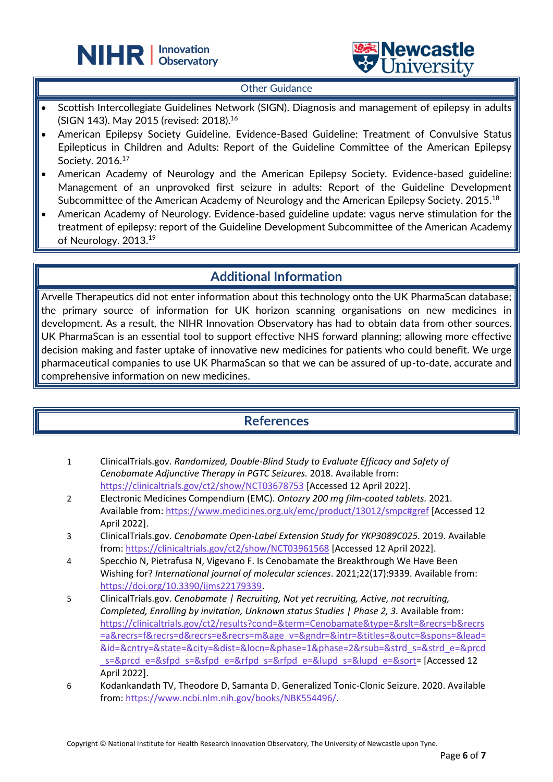



#### Other Guidance

֦

- Scottish Intercollegiate Guidelines Network (SIGN). Diagnosis and management of epilepsy in adults (SIGN 143). May 2015 (revised: 2018).<sup>16</sup>
- American Epilepsy Society Guideline. Evidence-Based Guideline: Treatment of Convulsive Status Epilepticus in Children and Adults: Report of the Guideline Committee of the American Epilepsy Society. 2016.<sup>17</sup>
- American Academy of Neurology and the American Epilepsy Society. Evidence-based guideline: Management of an unprovoked first seizure in adults: Report of the Guideline Development Subcommittee of the American Academy of Neurology and the American Epilepsy Society. 2015. $^{18}$
- American Academy of Neurology. Evidence-based guideline update: vagus nerve stimulation for the treatment of epilepsy: report of the Guideline Development Subcommittee of the American Academy of Neurology. 2013.<sup>19</sup>

## **Additional Information**

Arvelle Therapeutics did not enter information about this technology onto the UK PharmaScan database; the primary source of information for UK horizon scanning organisations on new medicines in development. As a result, the NIHR Innovation Observatory has had to obtain data from other sources. UK PharmaScan is an essential tool to support effective NHS forward planning; allowing more effective decision making and faster uptake of innovative new medicines for patients who could benefit. We urge pharmaceutical companies to use UK PharmaScan so that we can be assured of up-to-date, accurate and comprehensive information on new medicines.

## **References**

- 1 ClinicalTrials.gov. *Randomized, Double-Blind Study to Evaluate Efficacy and Safety of Cenobamate Adjunctive Therapy in PGTC Seizures.* 2018. Available from: <https://clinicaltrials.gov/ct2/show/NCT03678753> [Accessed 12 April 2022].
- 2 Electronic Medicines Compendium (EMC). *Ontozry 200 mg film-coated tablets.* 2021. Available from[: https://www.medicines.org.uk/emc/product/13012/smpc#gref](https://www.medicines.org.uk/emc/product/13012/smpc#gref) [Accessed 12 April 2022].
- 3 ClinicalTrials.gov. *Cenobamate Open-Label Extension Study for YKP3089C025.* 2019. Available from:<https://clinicaltrials.gov/ct2/show/NCT03961568> [Accessed 12 April 2022].
- 4 Specchio N, Pietrafusa N, Vigevano F. Is Cenobamate the Breakthrough We Have Been Wishing for? *International journal of molecular sciences*. 2021;22(17):9339. Available from: [https://doi.org/10.3390/ijms22179339.](https://doi.org/10.3390/ijms22179339)
- 5 ClinicalTrials.gov. *Cenobamate | Recruiting, Not yet recruiting, Active, not recruiting, Completed, Enrolling by invitation, Unknown status Studies | Phase 2, 3.* Available from: [https://clinicaltrials.gov/ct2/results?cond=&term=Cenobamate&type=&rslt=&recrs=b&recrs](https://clinicaltrials.gov/ct2/results?cond=&term=Cenobamate&type=&rslt=&recrs=b&recrs=a&recrs=f&recrs=d&recrs=e&recrs=m&age_v=&gndr=&intr=&titles=&outc=&spons=&lead=&id=&cntry=&state=&city=&dist=&locn=&phase=1&phase=2&rsub=&strd_s=&strd_e=&prcd_s=&prcd_e=&sfpd_s=&sfpd_e=&rfpd_s=&rfpd_e=&lupd_s=&lupd_e=&sort) [=a&recrs=f&recrs=d&recrs=e&recrs=m&age\\_v=&gndr=&intr=&titles=&outc=&spons=&lead=](https://clinicaltrials.gov/ct2/results?cond=&term=Cenobamate&type=&rslt=&recrs=b&recrs=a&recrs=f&recrs=d&recrs=e&recrs=m&age_v=&gndr=&intr=&titles=&outc=&spons=&lead=&id=&cntry=&state=&city=&dist=&locn=&phase=1&phase=2&rsub=&strd_s=&strd_e=&prcd_s=&prcd_e=&sfpd_s=&sfpd_e=&rfpd_s=&rfpd_e=&lupd_s=&lupd_e=&sort) [&id=&cntry=&state=&city=&dist=&locn=&phase=1&phase=2&rsub=&strd\\_s=&strd\\_e=&prcd](https://clinicaltrials.gov/ct2/results?cond=&term=Cenobamate&type=&rslt=&recrs=b&recrs=a&recrs=f&recrs=d&recrs=e&recrs=m&age_v=&gndr=&intr=&titles=&outc=&spons=&lead=&id=&cntry=&state=&city=&dist=&locn=&phase=1&phase=2&rsub=&strd_s=&strd_e=&prcd_s=&prcd_e=&sfpd_s=&sfpd_e=&rfpd_s=&rfpd_e=&lupd_s=&lupd_e=&sort) [\\_s=&prcd\\_e=&sfpd\\_s=&sfpd\\_e=&rfpd\\_s=&rfpd\\_e=&lupd\\_s=&lupd\\_e=&sort=](https://clinicaltrials.gov/ct2/results?cond=&term=Cenobamate&type=&rslt=&recrs=b&recrs=a&recrs=f&recrs=d&recrs=e&recrs=m&age_v=&gndr=&intr=&titles=&outc=&spons=&lead=&id=&cntry=&state=&city=&dist=&locn=&phase=1&phase=2&rsub=&strd_s=&strd_e=&prcd_s=&prcd_e=&sfpd_s=&sfpd_e=&rfpd_s=&rfpd_e=&lupd_s=&lupd_e=&sort) [Accessed 12 April 2022].
- 6 Kodankandath TV, Theodore D, Samanta D. Generalized Tonic-Clonic Seizure. 2020. Available from: [https://www.ncbi.nlm.nih.gov/books/NBK554496/.](https://www.ncbi.nlm.nih.gov/books/NBK554496/)